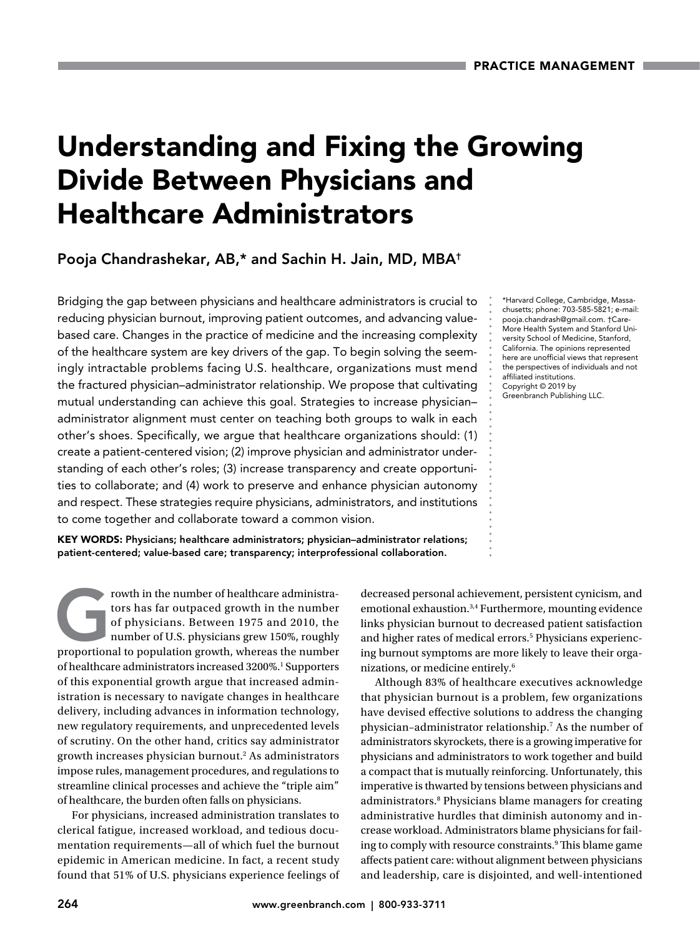# Understanding and Fixing the Growing Divide Between Physicians and Healthcare Administrators

Pooja Chandrashekar, AB,\* and Sachin H. Jain, MD, MBA†

Bridging the gap between physicians and healthcare administrators is crucial to reducing physician burnout, improving patient outcomes, and advancing valuebased care. Changes in the practice of medicine and the increasing complexity of the healthcare system are key drivers of the gap. To begin solving the seemingly intractable problems facing U.S. healthcare, organizations must mend the fractured physician–administrator relationship. We propose that cultivating mutual understanding can achieve this goal. Strategies to increase physician– administrator alignment must center on teaching both groups to walk in each other's shoes. Specifically, we argue that healthcare organizations should: (1) create a patient-centered vision; (2) improve physician and administrator understanding of each other's roles; (3) increase transparency and create opportunities to collaborate; and (4) work to preserve and enhance physician autonomy and respect. These strategies require physicians, administrators, and institutions to come together and collaborate toward a common vision.

KEY WORDS: Physicians; healthcare administrators; physician–administrator relations; patient-centered; value-based care; transparency; interprofessional collaboration.

rowth in the number of healthcare administra-<br>tors has far outpaced growth in the number<br>of physicians. Between 1975 and 2010, the<br>number of U.S. physicians grew 150%, roughly<br>proportional to population growth. whereas the tors has far outpaced growth in the number of physicians. Between 1975 and 2010, the number of U.S. physicians grew 150%, roughly proportional to population growth, whereas the number of healthcare administrators increased 3200%.<sup>1</sup> Supporters of this exponential growth argue that increased administration is necessary to navigate changes in healthcare delivery, including advances in information technology, new regulatory requirements, and unprecedented levels of scrutiny. On the other hand, critics say administrator growth increases physician burnout.<sup>2</sup> As administrators impose rules, management procedures, and regulations to streamline clinical processes and achieve the "triple aim" of healthcare, the burden often falls on physicians.

For physicians, increased administration translates to clerical fatigue, increased workload, and tedious documentation requirements—all of which fuel the burnout epidemic in American medicine. In fact, a recent study found that 51% of U.S. physicians experience feelings of

\*Harvard College, Cambridge, Massachusetts; phone: 703-585-5821; e-mail: pooja.chandrash@gmail.com. †Care-More Health System and Stanford University School of Medicine, Stanford, California. The opinions represented here are unofficial views that represent the perspectives of individuals and not affiliated institutions. Copyright © 2019 by Greenbranch Publishing LLC.

decreased personal achievement, persistent cynicism, and emotional exhaustion.3,4 Furthermore, mounting evidence links physician burnout to decreased patient satisfaction and higher rates of medical errors.<sup>5</sup> Physicians experiencing burnout symptoms are more likely to leave their organizations, or medicine entirely.6

Although 83% of healthcare executives acknowledge that physician burnout is a problem, few organizations have devised effective solutions to address the changing physician–administrator relationship.7 As the number of administrators skyrockets, there is a growing imperative for physicians and administrators to work together and build a compact that is mutually reinforcing. Unfortunately, this imperative is thwarted by tensions between physicians and administrators.8 Physicians blame managers for creating administrative hurdles that diminish autonomy and increase workload. Administrators blame physicians for failing to comply with resource constraints.<sup>9</sup> This blame game affects patient care: without alignment between physicians and leadership, care is disjointed, and well-intentioned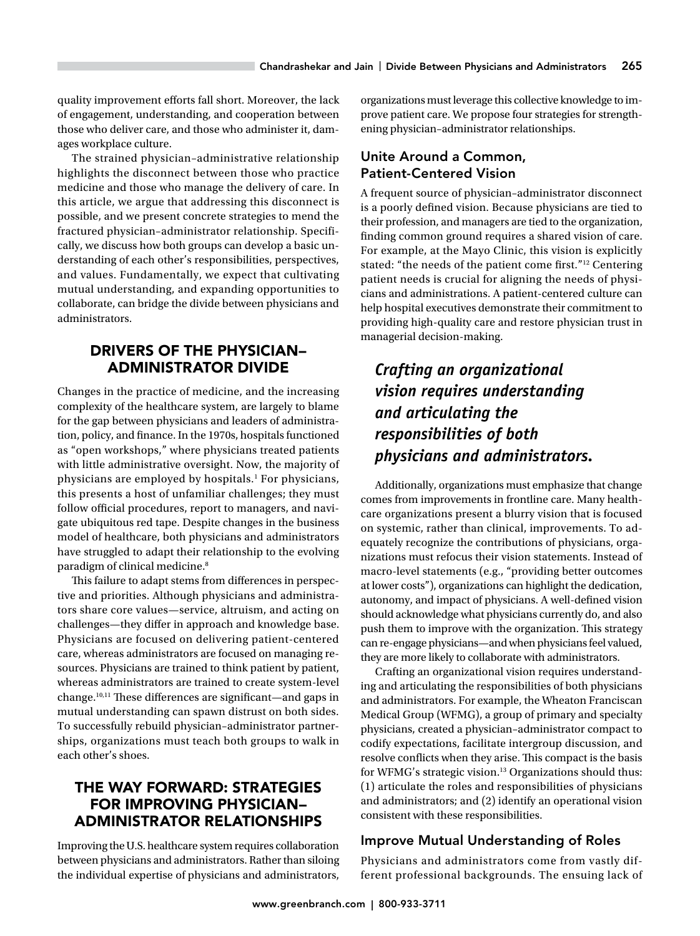quality improvement efforts fall short. Moreover, the lack of engagement, understanding, and cooperation between those who deliver care, and those who administer it, damages workplace culture.

The strained physician–administrative relationship highlights the disconnect between those who practice medicine and those who manage the delivery of care. In this article, we argue that addressing this disconnect is possible, and we present concrete strategies to mend the fractured physician–administrator relationship. Specifically, we discuss how both groups can develop a basic understanding of each other's responsibilities, perspectives, and values. Fundamentally, we expect that cultivating mutual understanding, and expanding opportunities to collaborate, can bridge the divide between physicians and administrators.

# DRIVERS OF THE PHYSICIAN– ADMINISTRATOR DIVIDE

Changes in the practice of medicine, and the increasing complexity of the healthcare system, are largely to blame for the gap between physicians and leaders of administration, policy, and finance. In the 1970s, hospitals functioned as "open workshops," where physicians treated patients with little administrative oversight. Now, the majority of physicians are employed by hospitals.1 For physicians, this presents a host of unfamiliar challenges; they must follow official procedures, report to managers, and navigate ubiquitous red tape. Despite changes in the business model of healthcare, both physicians and administrators have struggled to adapt their relationship to the evolving paradigm of clinical medicine.<sup>8</sup>

This failure to adapt stems from differences in perspective and priorities. Although physicians and administrators share core values—service, altruism, and acting on challenges—they differ in approach and knowledge base. Physicians are focused on delivering patient-centered care, whereas administrators are focused on managing resources. Physicians are trained to think patient by patient, whereas administrators are trained to create system-level change.10,11 These differences are significant—and gaps in mutual understanding can spawn distrust on both sides. To successfully rebuild physician–administrator partnerships, organizations must teach both groups to walk in each other's shoes.

# THE WAY FORWARD: STRATEGIES FOR IMPROVING PHYSICIAN– ADMINISTRATOR RELATIONSHIPS

Improving the U.S. healthcare system requires collaboration between physicians and administrators. Rather than siloing the individual expertise of physicians and administrators,

organizations must leverage this collective knowledge to improve patient care. We propose four strategies for strengthening physician–administrator relationships.

# Unite Around a Common, Patient-Centered Vision

A frequent source of physician–administrator disconnect is a poorly defined vision. Because physicians are tied to their profession, and managers are tied to the organization, finding common ground requires a shared vision of care. For example, at the Mayo Clinic, this vision is explicitly stated: "the needs of the patient come first."<sup>12</sup> Centering patient needs is crucial for aligning the needs of physicians and administrations. A patient-centered culture can help hospital executives demonstrate their commitment to providing high-quality care and restore physician trust in managerial decision-making.

# *Crafting an organizational vision requires understanding and articulating the responsibilities of both physicians and administrators.*

Additionally, organizations must emphasize that change comes from improvements in frontline care. Many healthcare organizations present a blurry vision that is focused on systemic, rather than clinical, improvements. To adequately recognize the contributions of physicians, organizations must refocus their vision statements. Instead of macro-level statements (e.g., "providing better outcomes at lower costs"), organizations can highlight the dedication, autonomy, and impact of physicians. A well-defined vision should acknowledge what physicians currently do, and also push them to improve with the organization. This strategy can re-engage physicians—and when physicians feel valued, they are more likely to collaborate with administrators.

Crafting an organizational vision requires understanding and articulating the responsibilities of both physicians and administrators. For example, the Wheaton Franciscan Medical Group (WFMG), a group of primary and specialty physicians, created a physician–administrator compact to codify expectations, facilitate intergroup discussion, and resolve conflicts when they arise. This compact is the basis for WFMG's strategic vision.<sup>13</sup> Organizations should thus: (1) articulate the roles and responsibilities of physicians and administrators; and (2) identify an operational vision consistent with these responsibilities.

## Improve Mutual Understanding of Roles

Physicians and administrators come from vastly different professional backgrounds. The ensuing lack of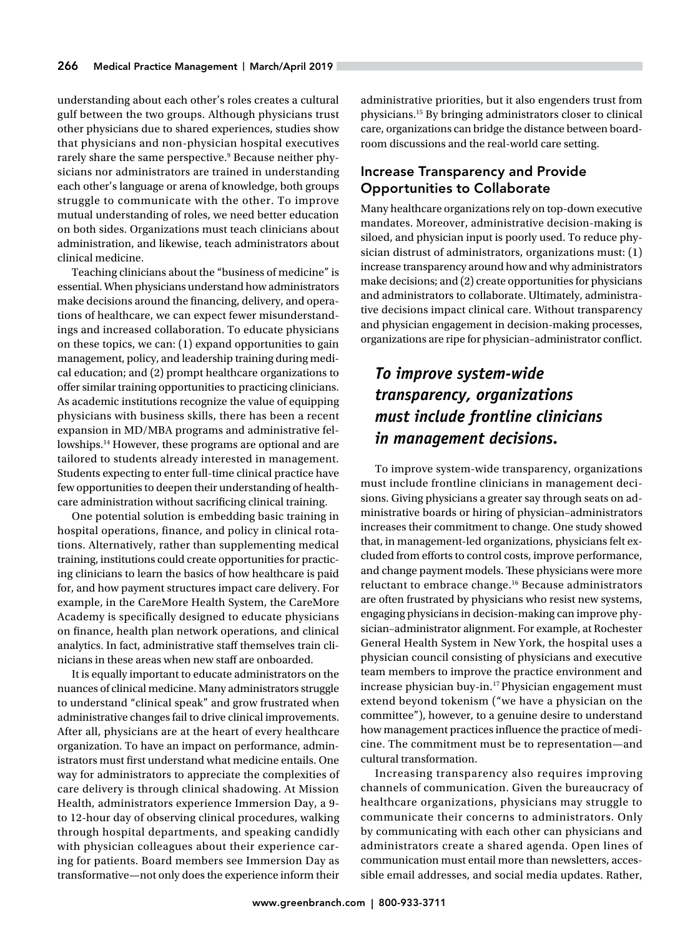understanding about each other's roles creates a cultural gulf between the two groups. Although physicians trust other physicians due to shared experiences, studies show that physicians and non-physician hospital executives rarely share the same perspective.<sup>9</sup> Because neither physicians nor administrators are trained in understanding each other's language or arena of knowledge, both groups struggle to communicate with the other. To improve mutual understanding of roles, we need better education on both sides. Organizations must teach clinicians about administration, and likewise, teach administrators about clinical medicine.

Teaching clinicians about the "business of medicine" is essential. When physicians understand how administrators make decisions around the financing, delivery, and operations of healthcare, we can expect fewer misunderstandings and increased collaboration. To educate physicians on these topics, we can: (1) expand opportunities to gain management, policy, and leadership training during medical education; and (2) prompt healthcare organizations to offer similar training opportunities to practicing clinicians. As academic institutions recognize the value of equipping physicians with business skills, there has been a recent expansion in MD/MBA programs and administrative fellowships.<sup>14</sup> However, these programs are optional and are tailored to students already interested in management. Students expecting to enter full-time clinical practice have few opportunities to deepen their understanding of healthcare administration without sacrificing clinical training.

One potential solution is embedding basic training in hospital operations, finance, and policy in clinical rotations. Alternatively, rather than supplementing medical training, institutions could create opportunities for practicing clinicians to learn the basics of how healthcare is paid for, and how payment structures impact care delivery. For example, in the CareMore Health System, the CareMore Academy is specifically designed to educate physicians on finance, health plan network operations, and clinical analytics. In fact, administrative staff themselves train clinicians in these areas when new staff are onboarded.

It is equally important to educate administrators on the nuances of clinical medicine. Many administrators struggle to understand "clinical speak" and grow frustrated when administrative changes fail to drive clinical improvements. After all, physicians are at the heart of every healthcare organization. To have an impact on performance, administrators must first understand what medicine entails. One way for administrators to appreciate the complexities of care delivery is through clinical shadowing. At Mission Health, administrators experience Immersion Day, a 9 to 12-hour day of observing clinical procedures, walking through hospital departments, and speaking candidly with physician colleagues about their experience caring for patients. Board members see Immersion Day as transformative—not only does the experience inform their

administrative priorities, but it also engenders trust from physicians.15 By bringing administrators closer to clinical care, organizations can bridge the distance between boardroom discussions and the real-world care setting.

### Increase Transparency and Provide Opportunities to Collaborate

Many healthcare organizations rely on top-down executive mandates. Moreover, administrative decision-making is siloed, and physician input is poorly used. To reduce physician distrust of administrators, organizations must: (1) increase transparency around how and why administrators make decisions; and (2) create opportunities for physicians and administrators to collaborate. Ultimately, administrative decisions impact clinical care. Without transparency and physician engagement in decision-making processes, organizations are ripe for physician–administrator conflict.

# *To improve system-wide transparency, organizations must include frontline clinicians in management decisions.*

To improve system-wide transparency, organizations must include frontline clinicians in management decisions. Giving physicians a greater say through seats on administrative boards or hiring of physician–administrators increases their commitment to change. One study showed that, in management-led organizations, physicians felt excluded from efforts to control costs, improve performance, and change payment models. These physicians were more reluctant to embrace change.16 Because administrators are often frustrated by physicians who resist new systems, engaging physicians in decision-making can improve physician–administrator alignment. For example, at Rochester General Health System in New York, the hospital uses a physician council consisting of physicians and executive team members to improve the practice environment and increase physician buy-in.17 Physician engagement must extend beyond tokenism ("we have a physician on the committee"), however, to a genuine desire to understand how management practices influence the practice of medicine. The commitment must be to representation—and cultural transformation.

Increasing transparency also requires improving channels of communication. Given the bureaucracy of healthcare organizations, physicians may struggle to communicate their concerns to administrators. Only by communicating with each other can physicians and administrators create a shared agenda. Open lines of communication must entail more than newsletters, accessible email addresses, and social media updates. Rather,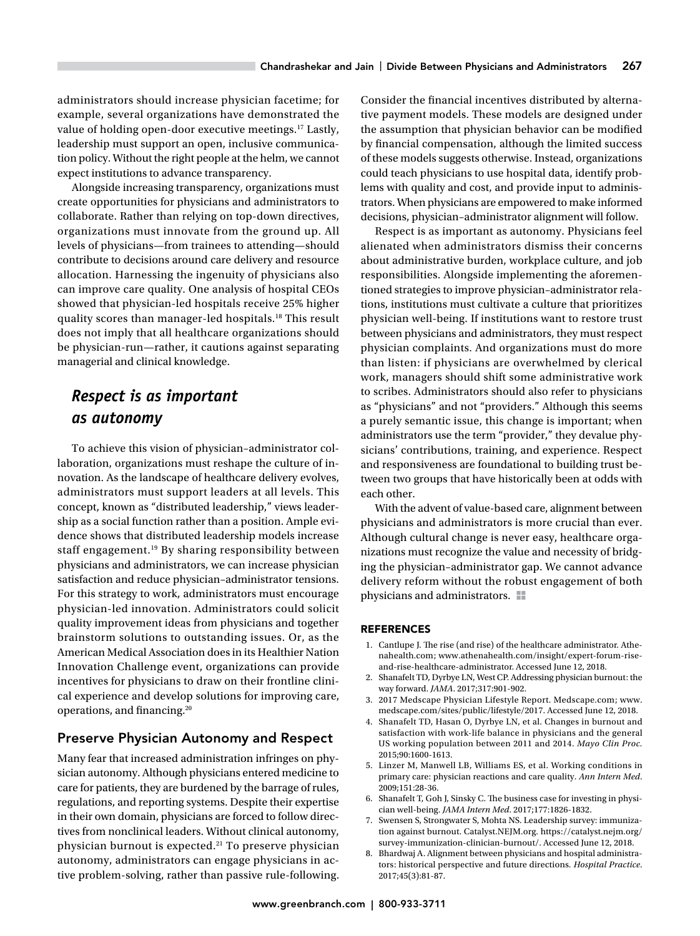administrators should increase physician facetime; for example, several organizations have demonstrated the value of holding open-door executive meetings.<sup>17</sup> Lastly, leadership must support an open, inclusive communication policy. Without the right people at the helm, we cannot expect institutions to advance transparency.

Alongside increasing transparency, organizations must create opportunities for physicians and administrators to collaborate. Rather than relying on top-down directives, organizations must innovate from the ground up. All levels of physicians—from trainees to attending—should contribute to decisions around care delivery and resource allocation. Harnessing the ingenuity of physicians also can improve care quality. One analysis of hospital CEOs showed that physician-led hospitals receive 25% higher quality scores than manager-led hospitals.18 This result does not imply that all healthcare organizations should be physician-run—rather, it cautions against separating managerial and clinical knowledge.

# *Respect is as important as autonomy*

To achieve this vision of physician–administrator collaboration, organizations must reshape the culture of innovation. As the landscape of healthcare delivery evolves, administrators must support leaders at all levels. This concept, known as "distributed leadership," views leadership as a social function rather than a position. Ample evidence shows that distributed leadership models increase staff engagement.19 By sharing responsibility between physicians and administrators, we can increase physician satisfaction and reduce physician–administrator tensions. For this strategy to work, administrators must encourage physician-led innovation. Administrators could solicit quality improvement ideas from physicians and together brainstorm solutions to outstanding issues. Or, as the American Medical Association does in its Healthier Nation Innovation Challenge event, organizations can provide incentives for physicians to draw on their frontline clinical experience and develop solutions for improving care, operations, and financing.20

## Preserve Physician Autonomy and Respect

Many fear that increased administration infringes on physician autonomy. Although physicians entered medicine to care for patients, they are burdened by the barrage of rules, regulations, and reporting systems. Despite their expertise in their own domain, physicians are forced to follow directives from nonclinical leaders. Without clinical autonomy, physician burnout is expected.<sup>21</sup> To preserve physician autonomy, administrators can engage physicians in active problem-solving, rather than passive rule-following.

Consider the financial incentives distributed by alternative payment models. These models are designed under the assumption that physician behavior can be modified by financial compensation, although the limited success of these models suggests otherwise. Instead, organizations could teach physicians to use hospital data, identify problems with quality and cost, and provide input to administrators. When physicians are empowered to make informed decisions, physician–administrator alignment will follow.

Respect is as important as autonomy. Physicians feel alienated when administrators dismiss their concerns about administrative burden, workplace culture, and job responsibilities. Alongside implementing the aforementioned strategies to improve physician–administrator relations, institutions must cultivate a culture that prioritizes physician well-being. If institutions want to restore trust between physicians and administrators, they must respect physician complaints. And organizations must do more than listen: if physicians are overwhelmed by clerical work, managers should shift some administrative work to scribes. Administrators should also refer to physicians as "physicians" and not "providers." Although this seems a purely semantic issue, this change is important; when administrators use the term "provider," they devalue physicians' contributions, training, and experience. Respect and responsiveness are foundational to building trust between two groups that have historically been at odds with each other.

With the advent of value-based care, alignment between physicians and administrators is more crucial than ever. Although cultural change is never easy, healthcare organizations must recognize the value and necessity of bridging the physician–administrator gap. We cannot advance delivery reform without the robust engagement of both physicians and administrators.  $\blacksquare$ 

#### REFERENCES

- 1. Cantlupe J. The rise (and rise) of the healthcare administrator. [Athe](http://Athenahealth.com)[nahealth.com;](http://Athenahealth.com) [www.athenahealth.com/insight/expert-forum-rise](http://www.athenahealth.com/insight/expert-forum-rise-and-rise-healthcare-administrator)[and-rise-healthcare-administrator.](http://www.athenahealth.com/insight/expert-forum-rise-and-rise-healthcare-administrator) Accessed June 12, 2018.
- 2. Shanafelt TD, Dyrbye LN, West CP. Addressing physician burnout: the way forward. *JAMA*. 2017;317:901-902.
- 3. 2017 Medscape Physician Lifestyle Report. [Medscape.com](http://Medscape.com); [www.](http://www.medscape.com/sites/public/lifestyle/2017) [medscape.com/sites/public/lifestyle/2017.](http://www.medscape.com/sites/public/lifestyle/2017) Accessed June 12, 2018.
- 4. Shanafelt TD, Hasan O, Dyrbye LN, et al. Changes in burnout and satisfaction with work-life balance in physicians and the general US working population between 2011 and 2014. *Mayo Clin Proc.* 2015;90:1600-1613.
- 5. Linzer M, Manwell LB, Williams ES, et al. Working conditions in primary care: physician reactions and care quality. *Ann Intern Med*. 2009;151:28-36.
- 6. Shanafelt T, Goh J, Sinsky C. The business case for investing in physician well-being. *JAMA Intern Med*. 2017;177:1826-1832.
- 7. Swensen S, Strongwater S, Mohta NS. Leadership survey: immunization against burnout. Catalyst.NEJM.org. [https://catalyst.nejm.org/](https://catalyst.nejm.org/survey-immunization-clinician-burnout/) [survey-immunization-clinician-burnout/.](https://catalyst.nejm.org/survey-immunization-clinician-burnout/) Accessed June 12, 2018.
- 8. Bhardwaj A. Alignment between physicians and hospital administrators: historical perspective and future directions. *Hospital Practice*. 2017;45(3):81-87.